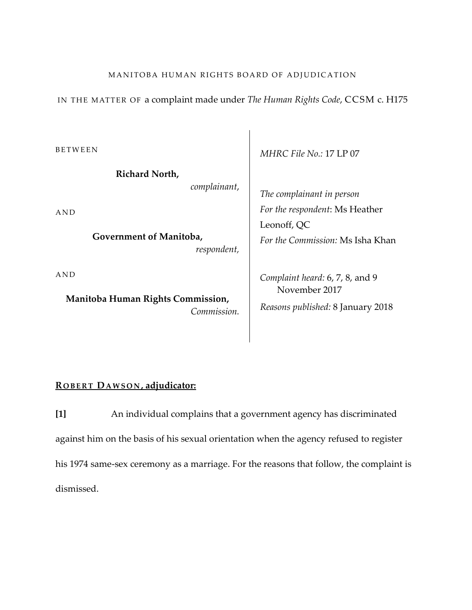#### MANITOBA HUMAN RIGHTS BOARD OF ADJUDICATION

IN THE MATTER OF a complaint made under *The Human Rights Code*, CCSM c. H175

BETWEEN

**Richard North,** *complainant*,

AND

**Government of Manitoba,** *respondent,*

AND

**Manitoba Human Rights Commission,** *Commission.* *MHRC File No.:* 17 LP 07

*The complainant in person For the respondent*: Ms Heather Leonoff, QC *For the Commission:* Ms Isha Khan

*Complaint heard:* 6, 7, 8, and 9 November 2017 *Reasons published:* 8 January 2018

## **R OBERT DAWSON , adjudicator:**

**[1]** An individual complains that a government agency has discriminated against him on the basis of his sexual orientation when the agency refused to register his 1974 same-sex ceremony as a marriage. For the reasons that follow, the complaint is dismissed.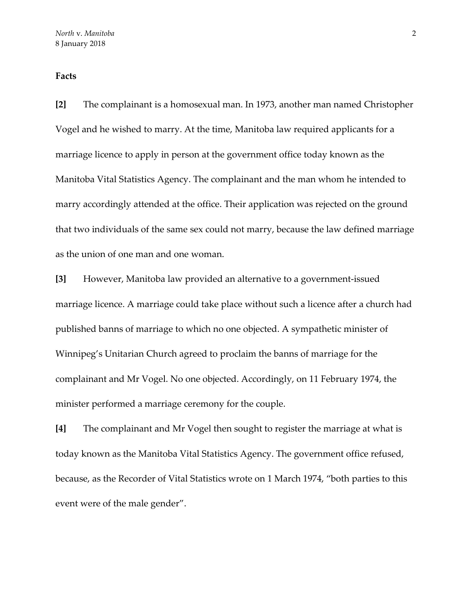# **Facts**

**[2]** The complainant is a homosexual man. In 1973, another man named Christopher Vogel and he wished to marry. At the time, Manitoba law required applicants for a marriage licence to apply in person at the government office today known as the Manitoba Vital Statistics Agency. The complainant and the man whom he intended to marry accordingly attended at the office. Their application was rejected on the ground that two individuals of the same sex could not marry, because the law defined marriage as the union of one man and one woman.

**[3]** However, Manitoba law provided an alternative to a government-issued marriage licence. A marriage could take place without such a licence after a church had published banns of marriage to which no one objected. A sympathetic minister of Winnipeg's Unitarian Church agreed to proclaim the banns of marriage for the complainant and Mr Vogel. No one objected. Accordingly, on 11 February 1974, the minister performed a marriage ceremony for the couple.

**[4]** The complainant and Mr Vogel then sought to register the marriage at what is today known as the Manitoba Vital Statistics Agency. The government office refused, because, as the Recorder of Vital Statistics wrote on 1 March 1974, "both parties to this event were of the male gender".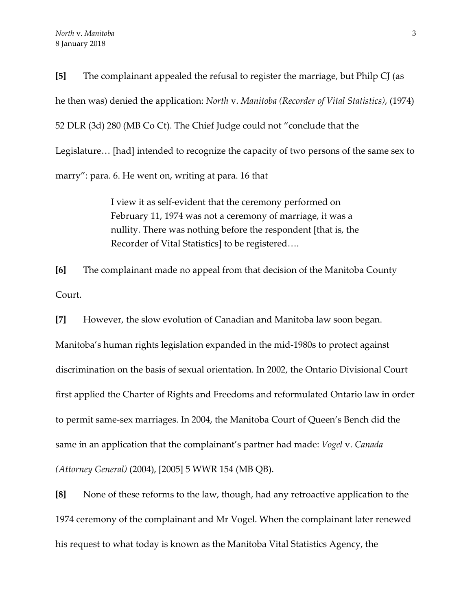**[5]** The complainant appealed the refusal to register the marriage, but Philp CJ (as he then was) denied the application: *North* v. *Manitoba (Recorder of Vital Statistics)*, (1974) 52 DLR (3d) 280 (MB Co Ct). The Chief Judge could not "conclude that the Legislature… [had] intended to recognize the capacity of two persons of the same sex to marry": para. 6. He went on, writing at para. 16 that

> I view it as self-evident that the ceremony performed on February 11, 1974 was not a ceremony of marriage, it was a nullity. There was nothing before the respondent [that is, the Recorder of Vital Statistics] to be registered….

**[6]** The complainant made no appeal from that decision of the Manitoba County Court.

**[7]** However, the slow evolution of Canadian and Manitoba law soon began. Manitoba's human rights legislation expanded in the mid-1980s to protect against discrimination on the basis of sexual orientation. In 2002, the Ontario Divisional Court first applied the Charter of Rights and Freedoms and reformulated Ontario law in order to permit same-sex marriages. In 2004, the Manitoba Court of Queen's Bench did the same in an application that the complainant's partner had made: *Vogel* v. *Canada (Attorney General)* (2004), [2005] 5 WWR 154 (MB QB).

**[8]** None of these reforms to the law, though, had any retroactive application to the 1974 ceremony of the complainant and Mr Vogel. When the complainant later renewed his request to what today is known as the Manitoba Vital Statistics Agency, the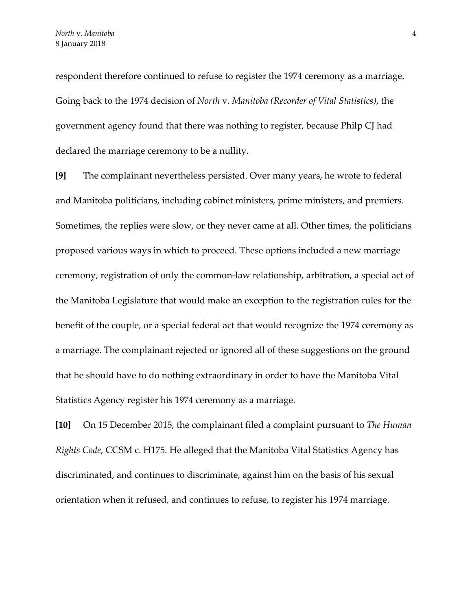respondent therefore continued to refuse to register the 1974 ceremony as a marriage. Going back to the 1974 decision of *North* v. *Manitoba (Recorder of Vital Statistics)*, the government agency found that there was nothing to register, because Philp CJ had declared the marriage ceremony to be a nullity.

**[9]** The complainant nevertheless persisted. Over many years, he wrote to federal and Manitoba politicians, including cabinet ministers, prime ministers, and premiers. Sometimes, the replies were slow, or they never came at all. Other times, the politicians proposed various ways in which to proceed. These options included a new marriage ceremony, registration of only the common-law relationship, arbitration, a special act of the Manitoba Legislature that would make an exception to the registration rules for the benefit of the couple, or a special federal act that would recognize the 1974 ceremony as a marriage. The complainant rejected or ignored all of these suggestions on the ground that he should have to do nothing extraordinary in order to have the Manitoba Vital Statistics Agency register his 1974 ceremony as a marriage.

**[10]** On 15 December 2015, the complainant filed a complaint pursuant to *The Human Rights Code*, CCSM c. H175. He alleged that the Manitoba Vital Statistics Agency has discriminated, and continues to discriminate, against him on the basis of his sexual orientation when it refused, and continues to refuse, to register his 1974 marriage.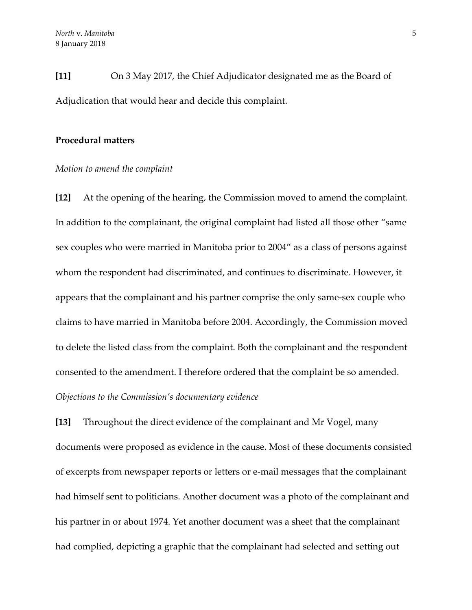**[11]** On 3 May 2017, the Chief Adjudicator designated me as the Board of Adjudication that would hear and decide this complaint.

#### **Procedural matters**

#### *Motion to amend the complaint*

**[12]** At the opening of the hearing, the Commission moved to amend the complaint. In addition to the complainant, the original complaint had listed all those other "same sex couples who were married in Manitoba prior to 2004" as a class of persons against whom the respondent had discriminated, and continues to discriminate. However, it appears that the complainant and his partner comprise the only same-sex couple who claims to have married in Manitoba before 2004. Accordingly, the Commission moved to delete the listed class from the complaint. Both the complainant and the respondent consented to the amendment. I therefore ordered that the complaint be so amended. *Objections to the Commission's documentary evidence*

**[13]** Throughout the direct evidence of the complainant and Mr Vogel, many documents were proposed as evidence in the cause. Most of these documents consisted of excerpts from newspaper reports or letters or e-mail messages that the complainant had himself sent to politicians. Another document was a photo of the complainant and his partner in or about 1974. Yet another document was a sheet that the complainant had complied, depicting a graphic that the complainant had selected and setting out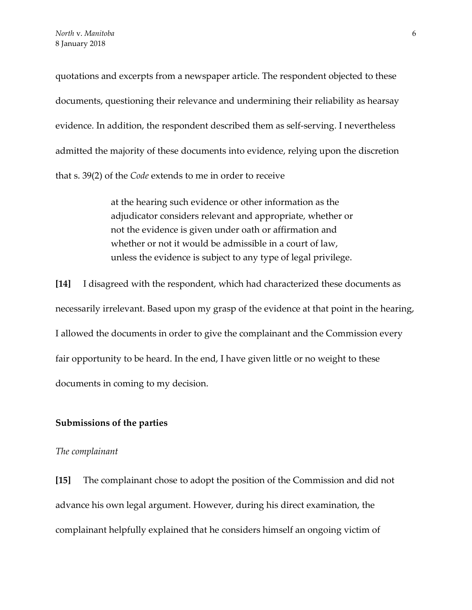quotations and excerpts from a newspaper article. The respondent objected to these documents, questioning their relevance and undermining their reliability as hearsay evidence. In addition, the respondent described them as self-serving. I nevertheless admitted the majority of these documents into evidence, relying upon the discretion that s. 39(2) of the *Code* extends to me in order to receive

> at the hearing such evidence or other information as the adjudicator considers relevant and appropriate, whether or not the evidence is given under oath or affirmation and whether or not it would be admissible in a court of law, unless the evidence is subject to any type of legal privilege.

**[14]** I disagreed with the respondent, which had characterized these documents as necessarily irrelevant. Based upon my grasp of the evidence at that point in the hearing, I allowed the documents in order to give the complainant and the Commission every fair opportunity to be heard. In the end, I have given little or no weight to these documents in coming to my decision.

#### **Submissions of the parties**

#### *The complainant*

**[15]** The complainant chose to adopt the position of the Commission and did not advance his own legal argument. However, during his direct examination, the complainant helpfully explained that he considers himself an ongoing victim of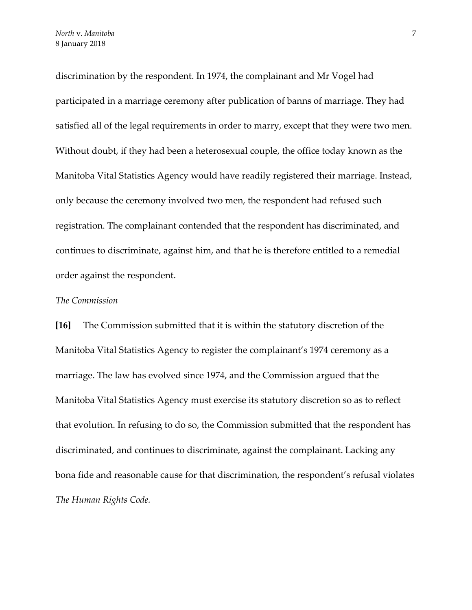discrimination by the respondent. In 1974, the complainant and Mr Vogel had participated in a marriage ceremony after publication of banns of marriage. They had satisfied all of the legal requirements in order to marry, except that they were two men. Without doubt, if they had been a heterosexual couple, the office today known as the Manitoba Vital Statistics Agency would have readily registered their marriage. Instead, only because the ceremony involved two men, the respondent had refused such registration. The complainant contended that the respondent has discriminated, and continues to discriminate, against him, and that he is therefore entitled to a remedial order against the respondent.

#### *The Commission*

**[16]** The Commission submitted that it is within the statutory discretion of the Manitoba Vital Statistics Agency to register the complainant's 1974 ceremony as a marriage. The law has evolved since 1974, and the Commission argued that the Manitoba Vital Statistics Agency must exercise its statutory discretion so as to reflect that evolution. In refusing to do so, the Commission submitted that the respondent has discriminated, and continues to discriminate, against the complainant. Lacking any bona fide and reasonable cause for that discrimination, the respondent's refusal violates *The Human Rights Code.*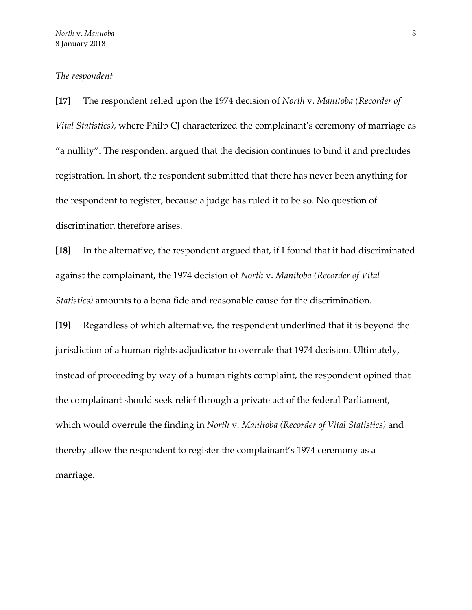#### *The respondent*

**[17]** The respondent relied upon the 1974 decision of *North* v. *Manitoba (Recorder of Vital Statistics)*, where Philp CJ characterized the complainant's ceremony of marriage as "a nullity". The respondent argued that the decision continues to bind it and precludes registration. In short, the respondent submitted that there has never been anything for the respondent to register, because a judge has ruled it to be so. No question of discrimination therefore arises.

**[18]** In the alternative, the respondent argued that, if I found that it had discriminated against the complainant, the 1974 decision of *North* v. *Manitoba (Recorder of Vital Statistics)* amounts to a bona fide and reasonable cause for the discrimination.

**[19]** Regardless of which alternative, the respondent underlined that it is beyond the jurisdiction of a human rights adjudicator to overrule that 1974 decision. Ultimately, instead of proceeding by way of a human rights complaint, the respondent opined that the complainant should seek relief through a private act of the federal Parliament, which would overrule the finding in *North* v. *Manitoba (Recorder of Vital Statistics)* and thereby allow the respondent to register the complainant's 1974 ceremony as a marriage.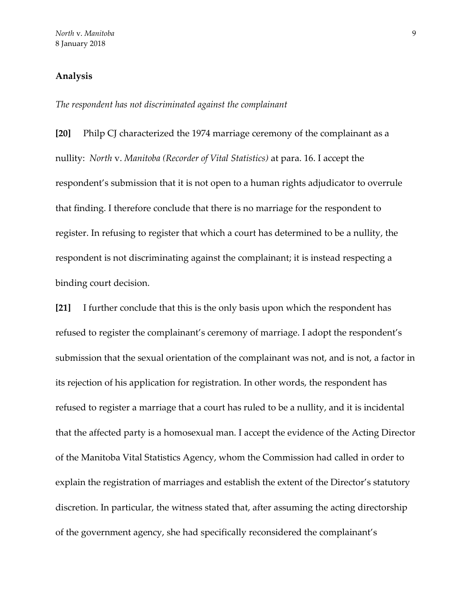## **Analysis**

*The respondent has not discriminated against the complainant*

**[20]** Philp CJ characterized the 1974 marriage ceremony of the complainant as a nullity: *North* v. *Manitoba (Recorder of Vital Statistics)* at para. 16. I accept the respondent's submission that it is not open to a human rights adjudicator to overrule that finding. I therefore conclude that there is no marriage for the respondent to register. In refusing to register that which a court has determined to be a nullity, the respondent is not discriminating against the complainant; it is instead respecting a binding court decision.

**[21]** I further conclude that this is the only basis upon which the respondent has refused to register the complainant's ceremony of marriage. I adopt the respondent's submission that the sexual orientation of the complainant was not, and is not, a factor in its rejection of his application for registration. In other words, the respondent has refused to register a marriage that a court has ruled to be a nullity, and it is incidental that the affected party is a homosexual man. I accept the evidence of the Acting Director of the Manitoba Vital Statistics Agency, whom the Commission had called in order to explain the registration of marriages and establish the extent of the Director's statutory discretion. In particular, the witness stated that, after assuming the acting directorship of the government agency, she had specifically reconsidered the complainant's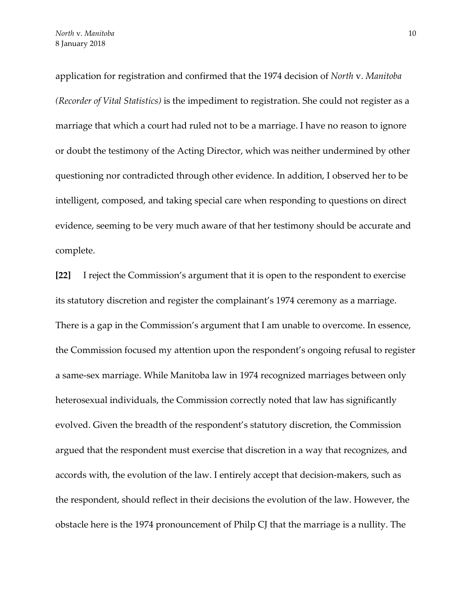application for registration and confirmed that the 1974 decision of *North* v. *Manitoba (Recorder of Vital Statistics)* is the impediment to registration. She could not register as a marriage that which a court had ruled not to be a marriage. I have no reason to ignore or doubt the testimony of the Acting Director, which was neither undermined by other questioning nor contradicted through other evidence. In addition, I observed her to be intelligent, composed, and taking special care when responding to questions on direct evidence, seeming to be very much aware of that her testimony should be accurate and complete.

**[22]** I reject the Commission's argument that it is open to the respondent to exercise its statutory discretion and register the complainant's 1974 ceremony as a marriage. There is a gap in the Commission's argument that I am unable to overcome. In essence, the Commission focused my attention upon the respondent's ongoing refusal to register a same-sex marriage. While Manitoba law in 1974 recognized marriages between only heterosexual individuals, the Commission correctly noted that law has significantly evolved. Given the breadth of the respondent's statutory discretion, the Commission argued that the respondent must exercise that discretion in a way that recognizes, and accords with, the evolution of the law. I entirely accept that decision-makers, such as the respondent, should reflect in their decisions the evolution of the law. However, the obstacle here is the 1974 pronouncement of Philp CJ that the marriage is a nullity. The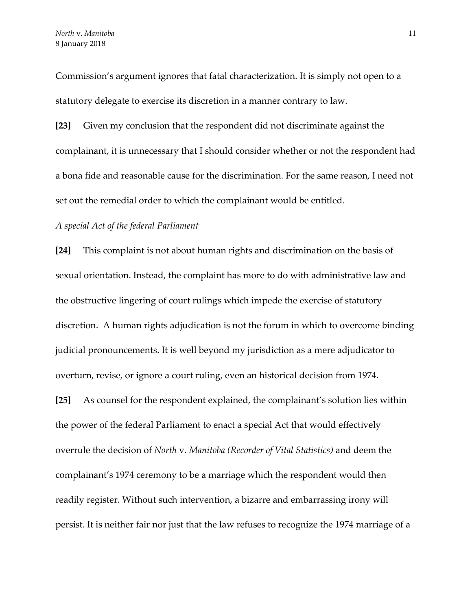Commission's argument ignores that fatal characterization. It is simply not open to a statutory delegate to exercise its discretion in a manner contrary to law.

**[23]** Given my conclusion that the respondent did not discriminate against the complainant, it is unnecessary that I should consider whether or not the respondent had a bona fide and reasonable cause for the discrimination. For the same reason, I need not set out the remedial order to which the complainant would be entitled.

#### *A special Act of the federal Parliament*

**[24]** This complaint is not about human rights and discrimination on the basis of sexual orientation. Instead, the complaint has more to do with administrative law and the obstructive lingering of court rulings which impede the exercise of statutory discretion. A human rights adjudication is not the forum in which to overcome binding judicial pronouncements. It is well beyond my jurisdiction as a mere adjudicator to overturn, revise, or ignore a court ruling, even an historical decision from 1974.

**[25]** As counsel for the respondent explained, the complainant's solution lies within the power of the federal Parliament to enact a special Act that would effectively overrule the decision of *North* v. *Manitoba (Recorder of Vital Statistics)* and deem the complainant's 1974 ceremony to be a marriage which the respondent would then readily register. Without such intervention, a bizarre and embarrassing irony will persist. It is neither fair nor just that the law refuses to recognize the 1974 marriage of a